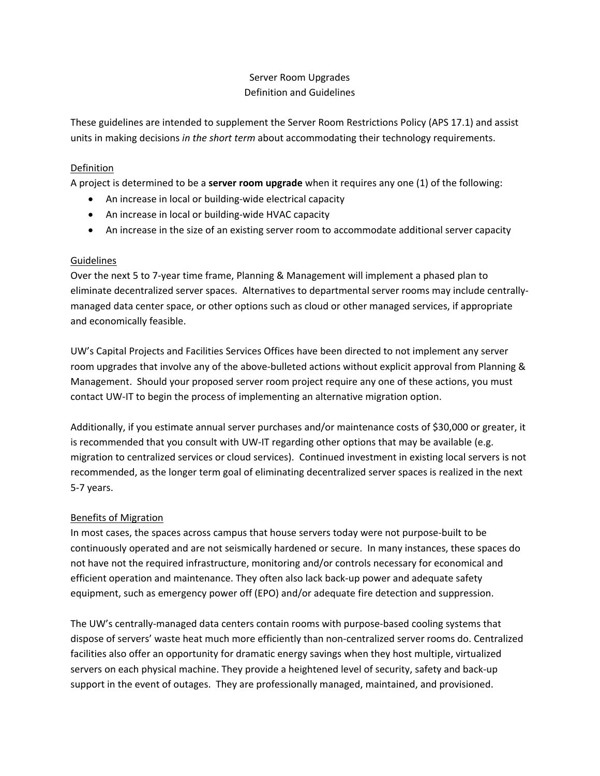# Server Room Upgrades Definition and Guidelines

These guidelines are intended to supplement the Server Room Restrictions Policy (APS 17.1) and assist units in making decisions *in the short term* about accommodating their technology requirements.

### Definition

A project is determined to be a **server room upgrade** when it requires any one (1) of the following:

- An increase in local or building-wide electrical capacity
- An increase in local or building-wide HVAC capacity
- An increase in the size of an existing server room to accommodate additional server capacity

#### **Guidelines**

Over the next 5 to 7‐year time frame, Planning & Management will implement a phased plan to eliminate decentralized server spaces. Alternatives to departmental server rooms may include centrally‐ managed data center space, or other options such as cloud or other managed services, if appropriate and economically feasible.

UW's Capital Projects and Facilities Services Offices have been directed to not implement any server room upgrades that involve any of the above-bulleted actions without explicit approval from Planning & Management. Should your proposed server room project require any one of these actions, you must contact UW‐IT to begin the process of implementing an alternative migration option.

Additionally, if you estimate annual server purchases and/or maintenance costs of \$30,000 or greater, it is recommended that you consult with UW-IT regarding other options that may be available (e.g. migration to centralized services or cloud services). Continued investment in existing local servers is not recommended, as the longer term goal of eliminating decentralized server spaces is realized in the next 5‐7 years.

## Benefits of Migration

In most cases, the spaces across campus that house servers today were not purpose-built to be continuously operated and are not seismically hardened or secure. In many instances, these spaces do not have not the required infrastructure, monitoring and/or controls necessary for economical and efficient operation and maintenance. They often also lack back‐up power and adequate safety equipment, such as emergency power off (EPO) and/or adequate fire detection and suppression.

The UW's centrally‐managed data centers contain rooms with purpose‐based cooling systems that dispose of servers' waste heat much more efficiently than non‐centralized server rooms do. Centralized facilities also offer an opportunity for dramatic energy savings when they host multiple, virtualized servers on each physical machine. They provide a heightened level of security, safety and back‐up support in the event of outages. They are professionally managed, maintained, and provisioned.